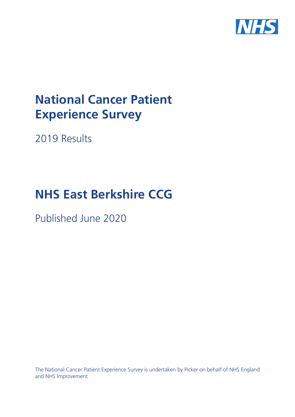

# **National Cancer Patient Experience Survey**

2019 Results

# **NHS East Berkshire CCG**

Published June 2020

The National Cancer Patient Experience Survey is undertaken by Picker on behalf of NHS England and NHS Improvement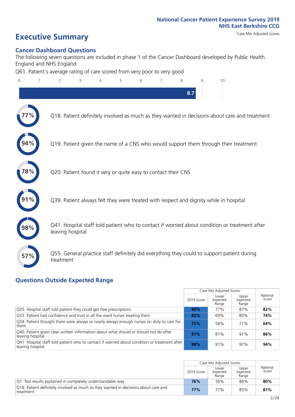# **Executive Summary** Case Mix Adjusted scores

### **Cancer Dashboard Questions**

The following seven questions are included in phase 1 of the Cancer Dashboard developed by Public Health England and NHS England:

Q61. Patient's average rating of care scored from very poor to very good

| $\Omega$ | $\overline{2}$                                                | 3 | 4 | 5 | 6 | 7 | 8   | 9 | 10                                                                                            |
|----------|---------------------------------------------------------------|---|---|---|---|---|-----|---|-----------------------------------------------------------------------------------------------|
|          |                                                               |   |   |   |   |   | 8.7 |   |                                                                                               |
|          |                                                               |   |   |   |   |   |     |   | Q18. Patient definitely involved as much as they wanted in decisions about care and treatment |
|          |                                                               |   |   |   |   |   |     |   | Q19. Patient given the name of a CNS who would support them through their treatment           |
| 78%      | Q20. Patient found it very or quite easy to contact their CNS |   |   |   |   |   |     |   |                                                                                               |
|          |                                                               |   |   |   |   |   |     |   | Q39. Patient always felt they were treated with respect and dignity while in hospital         |
|          | leaving hospital                                              |   |   |   |   |   |     |   | Q41. Hospital staff told patient who to contact if worried about condition or treatment after |
| 57%      | treatment                                                     |   |   |   |   |   |     |   | Q55. General practice staff definitely did everything they could to support patient during    |
|          | Outcide Evnected Denny                                        |   |   |   |   |   |     |   |                                                                                               |

### **Questions Outside Expected Range**

|                                                                                                                    |            | Case Mix Adjusted Scores   |                            |                   |
|--------------------------------------------------------------------------------------------------------------------|------------|----------------------------|----------------------------|-------------------|
|                                                                                                                    | 2019 Score | Lower<br>Expected<br>Range | Upper<br>Expected<br>Range | National<br>Score |
| Q25. Hospital staff told patient they could get free prescriptions                                                 | 90%        | 77%                        | 87%                        | 82%               |
| Q33. Patient had confidence and trust in all the ward nurses treating them                                         | 82%        | 69%                        | 80%                        | 74%               |
| Q34. Patient thought there were always or nearly always enough nurses on duty to care for<br>them                  | 75%        | 58%                        | 71%                        | 64%               |
| Q40. Patient given clear written information about what should or should not do after<br>leaving hospital          | 91%        | 81%                        | 91%                        | 86%               |
| [Q41. Hospital staff told patient who to contact if worried about condition or treatment after<br>leaving hospital | 98%        | 91%                        | 97%                        | 94%               |

|                                                                                                  |            | Case Mix Adjusted Scores   |                            |                   |
|--------------------------------------------------------------------------------------------------|------------|----------------------------|----------------------------|-------------------|
|                                                                                                  | 2019 Score | Lower<br>Expected<br>Range | Upper<br>Expected<br>Range | National<br>Score |
| Q7. Test results explained in completely understandable way                                      | 76%        | 76%                        | 84%                        | 80%               |
| O18. Patient definitely involved as much as they wanted in decisions about care and<br>treatment | 77%        | 77%                        | 85%                        | 81%               |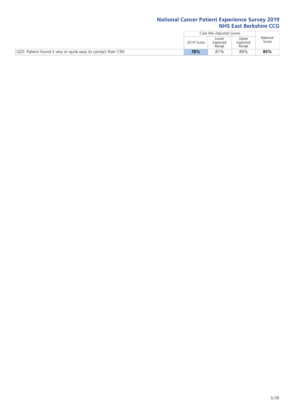|                                                               |            | Case Mix Adjusted Scores   |                            |                   |
|---------------------------------------------------------------|------------|----------------------------|----------------------------|-------------------|
|                                                               | 2019 Score | Lower<br>Expected<br>Range | Upper<br>Expected<br>Range | National<br>Score |
| Q20. Patient found it very or quite easy to contact their CNS | 78%        | 81%                        | 89%                        | 85%               |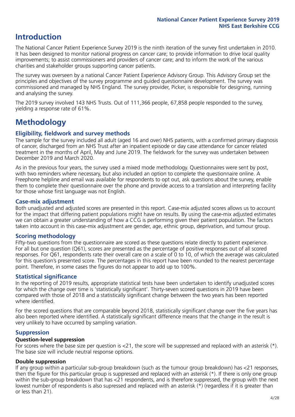## **Introduction**

The National Cancer Patient Experience Survey 2019 is the ninth iteration of the survey first undertaken in 2010. It has been designed to monitor national progress on cancer care; to provide information to drive local quality improvements; to assist commissioners and providers of cancer care; and to inform the work of the various charities and stakeholder groups supporting cancer patients.

The survey was overseen by a national Cancer Patient Experience Advisory Group. This Advisory Group set the principles and objectives of the survey programme and guided questionnaire development. The survey was commissioned and managed by NHS England. The survey provider, Picker, is responsible for designing, running and analysing the survey.

The 2019 survey involved 143 NHS Trusts. Out of 111,366 people, 67,858 people responded to the survey, yielding a response rate of 61%.

# **Methodology**

### **Eligibility, fieldwork and survey methods**

The sample for the survey included all adult (aged 16 and over) NHS patients, with a confirmed primary diagnosis of cancer, discharged from an NHS Trust after an inpatient episode or day case attendance for cancer related treatment in the months of April, May and June 2019. The fieldwork for the survey was undertaken between December 2019 and March 2020.

As in the previous four years, the survey used a mixed mode methodology. Questionnaires were sent by post, with two reminders where necessary, but also included an option to complete the questionnaire online. A Freephone helpline and email was available for respondents to opt out, ask questions about the survey, enable them to complete their questionnaire over the phone and provide access to a translation and interpreting facility for those whose first language was not English.

### **Case-mix adjustment**

Both unadjusted and adjusted scores are presented in this report. Case-mix adjusted scores allows us to account for the impact that differing patient populations might have on results. By using the case-mix adjusted estimates we can obtain a greater understanding of how a CCG is performing given their patient population. The factors taken into account in this case-mix adjustment are gender, age, ethnic group, deprivation, and tumour group.

### **Scoring methodology**

Fifty-two questions from the questionnaire are scored as these questions relate directly to patient experience. For all but one question (Q61), scores are presented as the percentage of positive responses out of all scored responses. For Q61, respondents rate their overall care on a scale of 0 to 10, of which the average was calculated for this question's presented score. The percentages in this report have been rounded to the nearest percentage point. Therefore, in some cases the figures do not appear to add up to 100%.

### **Statistical significance**

In the reporting of 2019 results, appropriate statistical tests have been undertaken to identify unadjusted scores for which the change over time is 'statistically significant'. Thirty-seven scored questions in 2019 have been compared with those of 2018 and a statistically significant change between the two years has been reported where identified.

For the scored questions that are comparable beyond 2018, statistically significant change over the five years has also been reported where identified. A statistically significant difference means that the change in the result is very unlikely to have occurred by sampling variation.

### **Suppression**

### **Question-level suppression**

For scores where the base size per question is  $<$ 21, the score will be suppressed and replaced with an asterisk (\*). The base size will include neutral response options.

### **Double suppression**

If any group within a particular sub-group breakdown (such as the tumour group breakdown) has <21 responses, then the figure for this particular group is suppressed and replaced with an asterisk (\*). If there is only one group within the sub-group breakdown that has <21 respondents, and is therefore suppressed, the group with the next lowest number of respondents is also supressed and replaced with an asterisk (\*) (regardless if it is greater than or less than 21).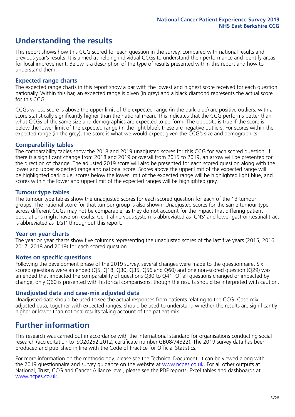## **Understanding the results**

This report shows how this CCG scored for each question in the survey, compared with national results and previous year's results. It is aimed at helping individual CCGs to understand their performance and identify areas for local improvement. Below is a description of the type of results presented within this report and how to understand them.

### **Expected range charts**

The expected range charts in this report show a bar with the lowest and highest score received for each question nationally. Within this bar, an expected range is given (in grey) and a black diamond represents the actual score for this CCG.

CCGs whose score is above the upper limit of the expected range (in the dark blue) are positive outliers, with a score statistically significantly higher than the national mean. This indicates that the CCG performs better than what CCGs of the same size and demographics are expected to perform. The opposite is true if the score is below the lower limit of the expected range (in the light blue); these are negative outliers. For scores within the expected range (in the grey), the score is what we would expect given the CCG's size and demographics.

### **Comparability tables**

The comparability tables show the 2018 and 2019 unadjusted scores for this CCG for each scored question. If there is a significant change from 2018 and 2019 or overall from 2015 to 2019, an arrow will be presented for the direction of change. The adjusted 2019 score will also be presented for each scored question along with the lower and upper expected range and national score. Scores above the upper limit of the expected range will be highlighted dark blue, scores below the lower limit of the expected range will be highlighted light blue, and scores within the lower and upper limit of the expected ranges will be highlighted grey.

### **Tumour type tables**

The tumour type tables show the unadjusted scores for each scored question for each of the 13 tumour groups. The national score for that tumour group is also shown. Unadjusted scores for the same tumour type across different CCGs may not be comparable, as they do not account for the impact that differing patient populations might have on results. Central nervous system is abbreviated as 'CNS' and lower gastrointestinal tract is abbreviated as 'LGT' throughout this report.

### **Year on year charts**

The year on year charts show five columns representing the unadjusted scores of the last five years (2015, 2016, 2017, 2018 and 2019) for each scored question.

#### **Notes on specific questions**

Following the development phase of the 2019 survey, several changes were made to the questionnaire. Six scored questions were amended (Q5, Q18, Q30, Q35, Q56 and Q60) and one non-scored question (Q29) was amended that impacted the comparability of questions Q30 to Q41. Of all questions changed or impacted by change, only Q60 is presented with historical comparisons; though the results should be interpreted with caution.

### **Unadjusted data and case-mix adjusted data**

Unadjusted data should be used to see the actual responses from patients relating to the CCG. Case-mix adjusted data, together with expected ranges, should be used to understand whether the results are significantly higher or lower than national results taking account of the patient mix.

### **Further information**

This research was carried out in accordance with the international standard for organisations conducting social research (accreditation to ISO20252:2012; certificate number GB08/74322). The 2019 survey data has been produced and published in line with the Code of Practice for Official Statistics.

For more information on the methodology, please see the Technical Document. It can be viewed along with the 2019 questionnaire and survey quidance on the website at [www.ncpes.co.uk](https://www.ncpes.co.uk/supporting-documents). For all other outputs at National, Trust, CCG and Cancer Alliance level, please see the PDF reports, Excel tables and dashboards at [www.ncpes.co.uk.](https://www.ncpes.co.uk/current-results)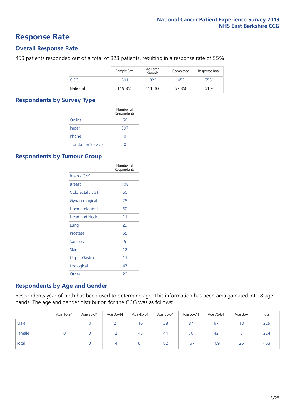### **Response Rate**

### **Overall Response Rate**

453 patients responded out of a total of 823 patients, resulting in a response rate of 55%.

|          | Sample Size | Adjusted<br>Sample | Completed | Response Rate |
|----------|-------------|--------------------|-----------|---------------|
| CCG      | 891         | 823                | 453       | 55%           |
| National | 119,855     | 111.366            | 67,858    | 61%           |

### **Respondents by Survey Type**

|                            | Number of<br>Respondents |
|----------------------------|--------------------------|
| Online                     | 56                       |
| Paper                      | 397                      |
| Phone                      |                          |
| <b>Translation Service</b> |                          |

### **Respondents by Tumour Group**

|                      | Number of<br>Respondents |
|----------------------|--------------------------|
| <b>Brain / CNS</b>   | 1                        |
| <b>Breast</b>        | 108                      |
| Colorectal / LGT     | 60                       |
| Gynaecological       | 25                       |
| Haematological       | 60                       |
| <b>Head and Neck</b> | 11                       |
| Lung                 | 29                       |
| Prostate             | 55                       |
| Sarcoma              | 5                        |
| Skin                 | 12                       |
| <b>Upper Gastro</b>  | 11                       |
| Urological           | 47                       |
| Other                | 29                       |

### **Respondents by Age and Gender**

Respondents year of birth has been used to determine age. This information has been amalgamated into 8 age bands. The age and gender distribution for the CCG was as follows:

|        | Age 16-24 | Age 25-34 | Age 35-44 | Age 45-54 | Age 55-64 | Age 65-74 | Age 75-84 | Age 85+ | Total |
|--------|-----------|-----------|-----------|-----------|-----------|-----------|-----------|---------|-------|
| Male   |           |           |           | 16        | 38        | 87        | 67        | 18      | 229   |
| Female |           |           | 12        | 45        | 44        | 70        | 42        |         | 224   |
| Total  |           |           | 14        | 61        | 82        | 157       | 109       | 26      | 453   |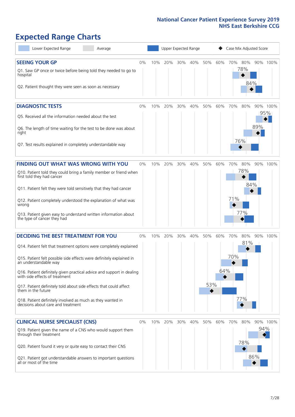# **Expected Range Charts**

| Lower Expected Range<br>Average                                                                         |       |     | Upper Expected Range |     |     |          |     |         |     | Case Mix Adjusted Score |          |  |
|---------------------------------------------------------------------------------------------------------|-------|-----|----------------------|-----|-----|----------|-----|---------|-----|-------------------------|----------|--|
| <b>SEEING YOUR GP</b><br>Q1. Saw GP once or twice before being told they needed to go to                | $0\%$ | 10% | 20%                  | 30% | 40% | 50%      | 60% | 70% 80% | 78% |                         | 90% 100% |  |
| hospital<br>Q2. Patient thought they were seen as soon as necessary                                     |       |     |                      |     |     |          |     |         | 84% |                         |          |  |
| <b>DIAGNOSTIC TESTS</b>                                                                                 | $0\%$ | 10% | 20%                  | 30% | 40% | 50%      | 60% | 70%     | 80% |                         | 90% 100% |  |
| Q5. Received all the information needed about the test                                                  |       |     |                      |     |     |          |     |         |     |                         | 95%      |  |
| Q6. The length of time waiting for the test to be done was about<br>right                               |       |     |                      |     |     |          |     |         |     | 89%                     |          |  |
| Q7. Test results explained in completely understandable way                                             |       |     |                      |     |     |          |     | 76%     |     |                         |          |  |
| <b>FINDING OUT WHAT WAS WRONG WITH YOU</b>                                                              | 0%    | 10% | 20%                  | 30% | 40% | 50%      | 60% | 70%     | 80% |                         | 90% 100% |  |
| Q10. Patient told they could bring a family member or friend when<br>first told they had cancer         |       |     |                      |     |     |          |     |         | 78% |                         |          |  |
| Q11. Patient felt they were told sensitively that they had cancer                                       |       |     |                      |     |     |          |     |         | 84% |                         |          |  |
| Q12. Patient completely understood the explanation of what was<br>wrong                                 |       |     |                      |     |     |          |     | 71%     |     |                         |          |  |
| Q13. Patient given easy to understand written information about<br>the type of cancer they had          |       |     |                      |     |     |          |     |         | 77% |                         |          |  |
| <b>DECIDING THE BEST TREATMENT FOR YOU</b>                                                              | $0\%$ | 10% | 20%                  | 30% | 40% | 50%      | 60% | 70%     | 80% |                         | 90% 100% |  |
| Q14. Patient felt that treatment options were completely explained                                      |       |     |                      |     |     |          |     |         | 81% |                         |          |  |
| Q15. Patient felt possible side effects were definitely explained in<br>an understandable way           |       |     |                      |     |     |          |     | 70%     |     |                         |          |  |
| Q16. Patient definitely given practical advice and support in dealing<br>with side effects of treatment |       |     |                      |     |     |          | 64% |         |     |                         |          |  |
| Q17. Patient definitely told about side effects that could affect<br>them in the future                 |       |     |                      |     |     | 53%<br>◆ |     |         |     |                         |          |  |
| Q18. Patient definitely involved as much as they wanted in<br>decisions about care and treatment        |       |     |                      |     |     |          |     |         | 77% |                         |          |  |
| <b>CLINICAL NURSE SPECIALIST (CNS)</b>                                                                  | $0\%$ |     | 10% 20%              | 30% | 40% | 50%      | 60% | 70%     | 80% |                         | 90% 100% |  |
| Q19. Patient given the name of a CNS who would support them<br>through their treatment                  |       |     |                      |     |     |          |     |         |     | 94%                     |          |  |
| Q20. Patient found it very or quite easy to contact their CNS                                           |       |     |                      |     |     |          |     |         | 78% |                         |          |  |
| Q21. Patient got understandable answers to important questions<br>all or most of the time               |       |     |                      |     |     |          |     |         |     | 86%                     |          |  |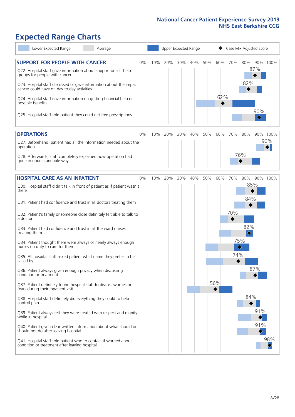# **Expected Range Charts**

| Lower Expected Range<br>Average                                                                                                                                                       |    |     |     |     | Upper Expected Range |     |     |          | Case Mix Adjusted Score      |                               |          |
|---------------------------------------------------------------------------------------------------------------------------------------------------------------------------------------|----|-----|-----|-----|----------------------|-----|-----|----------|------------------------------|-------------------------------|----------|
| <b>SUPPORT FOR PEOPLE WITH CANCER</b><br>Q22. Hospital staff gave information about support or self-help<br>groups for people with cancer                                             | 0% | 10% | 20% | 30% | 40%                  | 50% | 60% | 70%      | 80%<br>87%                   |                               | 90% 100% |
| Q23. Hospital staff discussed or gave information about the impact<br>cancer could have on day to day activities<br>Q24. Hospital staff gave information on getting financial help or |    |     |     |     |                      |     | 62% |          | 82%                          |                               |          |
| possible benefits<br>Q25. Hospital staff told patient they could get free prescriptions                                                                                               |    |     |     |     |                      |     |     |          |                              | 90%<br>$\color{red} \diamond$ |          |
| <b>OPERATIONS</b>                                                                                                                                                                     | 0% | 10% | 20% | 30% | 40%                  | 50% | 60% | 70%      | 80%                          |                               | 90% 100% |
| Q27. Beforehand, patient had all the information needed about the<br>operation                                                                                                        |    |     |     |     |                      |     |     |          |                              |                               | 96%      |
| Q28. Afterwards, staff completely explained how operation had<br>gone in understandable way                                                                                           |    |     |     |     |                      |     |     |          | 76%                          |                               |          |
| <b>HOSPITAL CARE AS AN INPATIENT</b>                                                                                                                                                  | 0% | 10% | 20% | 30% | 40%                  | 50% | 60% | 70%      | 80%                          |                               | 90% 100% |
| Q30. Hospital staff didn't talk in front of patient as if patient wasn't<br>there                                                                                                     |    |     |     |     |                      |     |     |          | 85%                          |                               |          |
| Q31. Patient had confidence and trust in all doctors treating them                                                                                                                    |    |     |     |     |                      |     |     |          | 84%                          |                               |          |
| Q32. Patient's family or someone close definitely felt able to talk to<br>a doctor                                                                                                    |    |     |     |     |                      |     |     | 70%      |                              |                               |          |
| Q33. Patient had confidence and trust in all the ward nurses<br>treating them                                                                                                         |    |     |     |     |                      |     |     |          | 82%<br>$\hat{\blacklozenge}$ |                               |          |
| Q34. Patient thought there were always or nearly always enough<br>nurses on duty to care for them                                                                                     |    |     |     |     |                      |     |     | 75%<br>♦ |                              |                               |          |
| Q35. All hospital staff asked patient what name they prefer to be<br>called by                                                                                                        |    |     |     |     |                      |     |     | 74%      |                              |                               |          |
| Q36. Patient always given enough privacy when discussing<br>condition or treatment                                                                                                    |    |     |     |     |                      |     |     |          |                              | 87%                           |          |
| Q37. Patient definitely found hospital staff to discuss worries or<br>fears during their inpatient visit                                                                              |    |     |     |     |                      |     | 56% |          |                              |                               |          |
| Q38. Hospital staff definitely did everything they could to help<br>control pain                                                                                                      |    |     |     |     |                      |     |     |          | 84%                          |                               |          |
| Q39. Patient always felt they were treated with respect and dignity<br>while in hospital                                                                                              |    |     |     |     |                      |     |     |          |                              | 91%                           |          |
| Q40. Patient given clear written information about what should or<br>should not do after leaving hospital                                                                             |    |     |     |     |                      |     |     |          |                              | 91%                           |          |
| Q41. Hospital staff told patient who to contact if worried about<br>condition or treatment after leaving hospital                                                                     |    |     |     |     |                      |     |     |          |                              |                               | 98%      |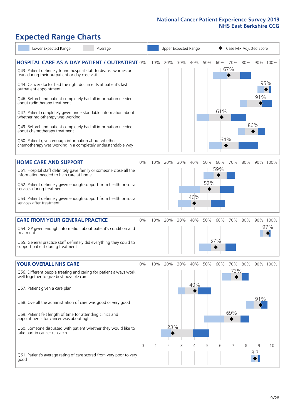# **Expected Range Charts**

| Lower Expected Range                                                                                                        | Average |          |     | Upper Expected Range |        |     | Case Mix Adjusted Score |     |                |     |          |          |
|-----------------------------------------------------------------------------------------------------------------------------|---------|----------|-----|----------------------|--------|-----|-------------------------|-----|----------------|-----|----------|----------|
| <b>HOSPITAL CARE AS A DAY PATIENT / OUTPATIENT 0%</b><br>Q43. Patient definitely found hospital staff to discuss worries or |         |          | 10% | 20%                  | 30%    | 40% | 50%                     |     | 60% 70%<br>67% | 80% |          | 90% 100% |
| fears during their outpatient or day case visit                                                                             |         |          |     |                      |        |     |                         |     |                |     |          | 95%      |
| Q44. Cancer doctor had the right documents at patient's last<br>outpatient appointment                                      |         |          |     |                      |        |     |                         |     |                |     | 91%      |          |
| Q46. Beforehand patient completely had all information needed<br>about radiotherapy treatment                               |         |          |     |                      |        |     |                         | 61% |                |     |          |          |
| Q47. Patient completely given understandable information about<br>whether radiotherapy was working                          |         |          |     |                      |        |     |                         |     |                |     | 86%      |          |
| Q49. Beforehand patient completely had all information needed<br>about chemotherapy treatment                               |         |          |     |                      |        |     |                         | 64% |                |     |          |          |
| Q50. Patient given enough information about whether<br>chemotherapy was working in a completely understandable way          |         |          |     |                      |        |     |                         |     |                |     |          |          |
| <b>HOME CARE AND SUPPORT</b>                                                                                                |         | 0%       | 10% | 20%                  | 30%    | 40% | 50%                     | 60% | 70%            | 80% |          | 90% 100% |
| Q51. Hospital staff definitely gave family or someone close all the<br>information needed to help care at home              |         |          |     |                      |        |     |                         | 59% |                |     |          |          |
| Q52. Patient definitely given enough support from health or social<br>services during treatment                             |         |          |     |                      |        |     | 52%                     |     |                |     |          |          |
| Q53. Patient definitely given enough support from health or social<br>services after treatment                              |         |          |     |                      |        | 40% |                         |     |                |     |          |          |
| <b>CARE FROM YOUR GENERAL PRACTICE</b>                                                                                      |         | $0\%$    | 10% | 20%                  | $30\%$ | 40% | 50%                     | 60% | 70%            | 80% |          | 90% 100% |
| Q54. GP given enough information about patient's condition and<br>treatment                                                 |         |          |     |                      |        |     |                         |     |                |     |          | 97%      |
| Q55. General practice staff definitely did everything they could to<br>support patient during treatment                     |         |          |     |                      |        |     |                         | 57% |                |     |          |          |
| <b>YOUR OVERALL NHS CARE</b>                                                                                                |         | 0%       | 10% | 20%                  | 30%    | 40% | 50%                     | 60% | 70%            | 80% |          | 90% 100% |
| Q56. Different people treating and caring for patient always work<br>well together to give best possible care               |         |          |     |                      |        |     |                         |     | 73%            |     |          |          |
| Q57. Patient given a care plan                                                                                              |         |          |     |                      |        | 40% |                         |     |                |     |          |          |
| Q58. Overall the administration of care was good or very good                                                               |         |          |     |                      |        |     |                         |     |                |     | 91%      |          |
| Q59. Patient felt length of time for attending clinics and<br>appointments for cancer was about right                       |         |          |     |                      |        |     |                         |     | 69%            |     |          |          |
| Q60. Someone discussed with patient whether they would like to<br>take part in cancer research                              |         |          |     | 23%                  |        |     |                         |     |                |     |          |          |
|                                                                                                                             |         | $\Omega$ |     | 2                    | 3      | 4   | 5                       | 6   |                | 8   | 9<br>8.7 | 10       |
| Q61. Patient's average rating of care scored from very poor to very<br>good                                                 |         |          |     |                      |        |     |                         |     |                |     |          |          |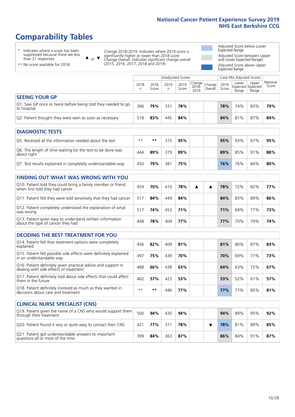# **Comparability Tables**

\* Indicates where a score has been suppressed because there are less than 21 responses.

\*\* No score available for 2018.

 $\triangle$  or  $\nabla$ 

Change 2018-2019: Indicates where 2019 score is significantly higher or lower than 2018 score Change Overall: Indicates significant change overall (2015, 2016, 2017, 2018 and 2019).

Adjusted Score below Lower Expected Range Adjusted Score between Upper and Lower Expected Ranges Adjusted Score above Upper Expected Range

|                                                                             |           |               | <b>Unadjusted Scores</b> |               |                                         |         |               | Case Mix Adjusted Scores                   |                |                   |
|-----------------------------------------------------------------------------|-----------|---------------|--------------------------|---------------|-----------------------------------------|---------|---------------|--------------------------------------------|----------------|-------------------|
|                                                                             | 2018<br>n | 2018<br>Score | 2019<br>n                | 2019<br>Score | $ Change _{Change}$<br>$2018 -$<br>2019 | Overall | 2019<br>Score | Lower<br><b>Expected Expected</b><br>Range | Upper<br>Range | National<br>Score |
| <b>SEEING YOUR GP</b>                                                       |           |               |                          |               |                                         |         |               |                                            |                |                   |
| Q1. Saw GP once or twice before being told they needed to go<br>to hospital | 366       | 79%           | 331                      | 78%           |                                         |         | 78%           | 74%                                        | 83%            | 79%               |
| Q2. Patient thought they were seen as soon as necessary                     | 518       | 83%           | 445                      | 84%           |                                         |         | 84%           | 81%                                        | 87%            | 84%               |
|                                                                             |           |               |                          |               |                                         |         |               |                                            |                |                   |
| <b>DIAGNOSTIC TESTS</b>                                                     |           |               |                          |               |                                         |         |               |                                            |                |                   |
| Q5. Received all the information needed about the test                      | $**$      | **            | 375                      | 95%           |                                         |         | 95%           | 93%                                        | 97%            | 95%               |

| QUE RECEIVED OIL LITE IMPORTANCE LITE GOOD LITE LESL                      |     |     |     | <i>33.</i> 70 |  | <i>331</i> 0 | - 22.70 | -27.70 |     |
|---------------------------------------------------------------------------|-----|-----|-----|---------------|--|--------------|---------|--------|-----|
| Q6. The length of time waiting for the test to be done was<br>about right | 444 | 89% | 379 | 89%           |  | 89%          | 85%     | 91%    | 88% |
| Q7. Test results explained in completely understandable way               | 450 | 79% | 381 | 75%           |  | 76%          | 76%     | 84%    | 80% |

| <b>FINDING OUT WHAT WAS WRONG WITH YOU</b>                                                      |     |     |     |     |  |     |     |     |     |
|-------------------------------------------------------------------------------------------------|-----|-----|-----|-----|--|-----|-----|-----|-----|
| Q10. Patient told they could bring a family member or friend<br>when first told they had cancer | 459 | 70% | 410 | 78% |  | 78% | 72% | 82% | 77% |
| Q11. Patient felt they were told sensitively that they had cancer                               | 517 | 84% | 449 | 84% |  | 84% | 83% | 89% | 86% |
| Q12. Patient completely understood the explanation of what<br>was wrong                         | 517 | 74% | 453 | 71% |  | 71% | 69% | 77% | 73% |
| Q13. Patient given easy to understand written information<br>about the type of cancer they had  | 448 | 78% | 404 | 77% |  | 77% | 70% | 79% | 74% |

| <b>DECIDING THE BEST TREATMENT FOR YOU</b>                                                              |      |     |     |     |            |     |     |     |
|---------------------------------------------------------------------------------------------------------|------|-----|-----|-----|------------|-----|-----|-----|
| Q14. Patient felt that treatment options were completely<br>explained                                   | 456  | 82% | 409 | 81% | 81%        | 80% | 87% | 83% |
| Q15. Patient felt possible side effects were definitely explained<br>in an understandable way           | 497  | 75% | 439 | 70% | 70%        | 69% | 77% | 73% |
| Q16. Patient definitely given practical advice and support in<br>dealing with side effects of treatment | 488  | 66% | 438 | 63% | 64%        | 63% | 72% | 67% |
| Q17. Patient definitely told about side effects that could affect<br>them in the future                 | 462  | 57% | 423 | 53% | 53%        | 52% | 61% | 57% |
| Q18. Patient definitely involved as much as they wanted in<br>decisions about care and treatment        | $**$ | **  | 446 | 77% | <b>77%</b> | 77% | 85% | 81% |

| <b>CLINICAL NURSE SPECIALIST (CNS)</b>                                                    |     |     |     |     |  |     |     |     |     |
|-------------------------------------------------------------------------------------------|-----|-----|-----|-----|--|-----|-----|-----|-----|
| Q19. Patient given the name of a CNS who would support them<br>through their treatment    | 500 | 94% | 435 | 94% |  | 94% | 89% | 95% | 92% |
| Q20. Patient found it very or quite easy to contact their CNS                             | 421 | 77% | 371 | 78% |  | 78% | 81% | 89% | 85% |
| Q21. Patient got understandable answers to important<br>questions all or most of the time | 399 | 84% | 363 | 87% |  | 86% | 84% | 91% | 87% |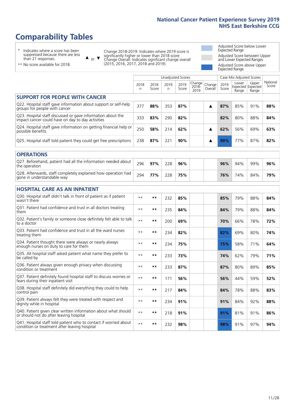# **Comparability Tables**

\* Indicates where a score has been suppressed because there are less than 21 responses.

\*\* No score available for 2018.

 $\triangle$  or  $\nabla$ 

Change 2018-2019: Indicates where 2019 score is significantly higher or lower than 2018 score Change Overall: Indicates significant change overall (2015, 2016, 2017, 2018 and 2019).

Adjusted Score below Lower Expected Range Adjusted Score between Upper and Lower Expected Ranges Adjusted Score above Upper Expected Range

|                                                                                                                   |              |               | <b>Unadjusted Scores</b> |               |                         |                   |               | Case Mix Adjusted Scores            |                |                   |
|-------------------------------------------------------------------------------------------------------------------|--------------|---------------|--------------------------|---------------|-------------------------|-------------------|---------------|-------------------------------------|----------------|-------------------|
|                                                                                                                   | 2018<br>n    | 2018<br>Score | 2019<br>n                | 2019<br>Score | Change<br>2018-<br>2019 | Change<br>Overall | 2019<br>Score | Lower<br>Expected Expected<br>Range | Upper<br>Range | National<br>Score |
| <b>SUPPORT FOR PEOPLE WITH CANCER</b>                                                                             |              |               |                          |               |                         |                   |               |                                     |                |                   |
| Q22. Hospital staff gave information about support or self-help<br>groups for people with cancer                  | 377          | 88%           | 353                      | 87%           |                         | ▲                 | 87%           | 85%                                 | 91%            | 88%               |
| Q23. Hospital staff discussed or gave information about the<br>impact cancer could have on day to day activities  | 333          | 83%           | 290                      | 82%           |                         |                   | 82%           | 80%                                 | 88%            | 84%               |
| Q24. Hospital staff gave information on getting financial help or<br>possible benefits                            | 250          | 58%           | 214                      | 62%           |                         | ▲                 | 62%           | 56%                                 | 69%            | 63%               |
| Q25. Hospital staff told patient they could get free prescriptions                                                | 238          | 87%           | 221                      | 90%           |                         | ▲                 | 90%           | 77%                                 | 87%            | 82%               |
| <b>OPERATIONS</b>                                                                                                 |              |               |                          |               |                         |                   |               |                                     |                |                   |
| Q27. Beforehand, patient had all the information needed about<br>the operation                                    | 296          | 97%           | 228                      | 96%           |                         |                   | 96%           | 94%                                 | 99%            | 96%               |
| Q28. Afterwards, staff completely explained how operation had<br>gone in understandable way                       | 294          | 77%           | 228                      | 75%           |                         |                   | 76%           | 74%                                 | 84%            | 79%               |
| <b>HOSPITAL CARE AS AN INPATIENT</b>                                                                              |              |               |                          |               |                         |                   |               |                                     |                |                   |
| Q30. Hospital staff didn't talk in front of patient as if patient<br>wasn't there                                 | $* *$        | $***$         | 232                      | 85%           |                         |                   | 85%           | 79%                                 | 88%            | 84%               |
| Q31. Patient had confidence and trust in all doctors treating<br>them                                             | $* *$        | $***$         | 235                      | 84%           |                         |                   | 84%           | 79%                                 | 88%            | 84%               |
| Q32. Patient's family or someone close definitely felt able to talk<br>to a doctor                                | $**$         | $***$         | 200                      | 69%           |                         |                   | 70%           | 66%                                 | 78%            | 72%               |
| Q33. Patient had confidence and trust in all the ward nurses<br>treating them                                     | $**$         | $***$         | 234                      | 82%           |                         |                   | 82%           | 69%                                 | 80%            | 74%               |
| Q34. Patient thought there were always or nearly always<br>enough nurses on duty to care for them                 | $* *$        | $***$         | 234                      | 75%           |                         |                   | 75%           | 58%                                 | 71%            | 64%               |
| Q35. All hospital staff asked patient what name they prefer to<br>be called by                                    | $**$         | $***$         | 233                      | 73%           |                         |                   | 74%           | 62%                                 | 79%            | 71%               |
| Q36. Patient always given enough privacy when discussing<br>condition or treatment                                | $**$         | $***$         | 233                      | 87%           |                         |                   | 87%           | 80%                                 | 89%            | 85%               |
| Q37. Patient definitely found hospital staff to discuss worries or<br>fears during their inpatient visit          | $**$         | $***$         | 171                      | 56%           |                         |                   | 56%           | 44%                                 | 59%            | 52%               |
| Q38. Hospital staff definitely did everything they could to help<br>control pain                                  | $* *$        | $***$         | 217                      | 84%           |                         |                   | 84%           | 78%                                 | 88%            | 83%               |
| Q39. Patient always felt they were treated with respect and<br>dignity while in hospital                          | $\star\star$ | $***$         | 234                      | 91%           |                         |                   | 91%           | 84%                                 | 92%            | 88%               |
| Q40. Patient given clear written information about what should<br>or should not do after leaving hospital         | $**$         | $***$         | 218                      | 91%           |                         |                   | 91%           | 81%                                 | 91%            | 86%               |
| Q41. Hospital staff told patient who to contact if worried about<br>condition or treatment after leaving hospital | $**$         | $***$         | 232                      | 98%           |                         |                   | 98%           | 91%                                 | 97%            | 94%               |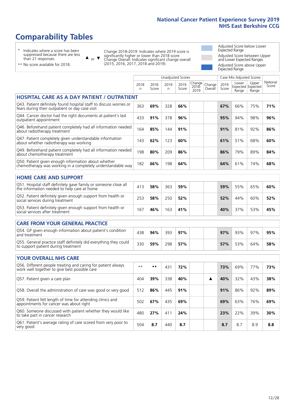# **Comparability Tables**

\* Indicates where a score has been suppressed because there are less than 21 responses.

\*\* No score available for 2018.

 $\triangle$  or  $\nabla$ 

Change 2018-2019: Indicates where 2019 score is significantly higher or lower than 2018 score Change Overall: Indicates significant change overall (2015, 2016, 2017, 2018 and 2019).

Adjusted Score below Lower Expected Range Adjusted Score between Upper and Lower Expected Ranges Adjusted Score above Upper Expected Range

|                                                                                                                       | <b>Unadjusted Scores</b> |               |           |               |                         |                   |               | Case Mix Adjusted Scores            |                |                   |
|-----------------------------------------------------------------------------------------------------------------------|--------------------------|---------------|-----------|---------------|-------------------------|-------------------|---------------|-------------------------------------|----------------|-------------------|
|                                                                                                                       | 2018<br>n                | 2018<br>Score | 2019<br>n | 2019<br>Score | Change<br>2018-<br>2019 | Change<br>Overall | 2019<br>Score | Lower<br>Expected Expected<br>Range | Upper<br>Range | National<br>Score |
| <b>HOSPITAL CARE AS A DAY PATIENT / OUTPATIENT</b>                                                                    |                          |               |           |               |                         |                   |               |                                     |                |                   |
| Q43. Patient definitely found hospital staff to discuss worries or<br>fears during their outpatient or day case visit | 363                      | 69%           | 328       | 66%           |                         |                   | 67%           | 66%                                 | 75%            | 71%               |
| Q44. Cancer doctor had the right documents at patient's last<br>outpatient appointment                                | 433                      | 91%           | 378       | 96%           |                         |                   | 95%           | 94%                                 | 98%            | 96%               |
| Q46. Beforehand patient completely had all information needed<br>about radiotherapy treatment                         | 164                      | 85%           | 144       | 91%           |                         |                   | 91%           | 81%                                 | 92%            | 86%               |
| Q47. Patient completely given understandable information<br>about whether radiotherapy was working                    | 143                      | 62%           | 123       | 60%           |                         |                   | 61%           | 51%                                 | 68%            | 60%               |
| Q49. Beforehand patient completely had all information needed<br>about chemotherapy treatment                         | 198                      | 80%           | 209       | 86%           |                         |                   | 86%           | 79%                                 | 89%            | 84%               |
| Q50. Patient given enough information about whether<br>chemotherapy was working in a completely understandable way    | 182                      | 66%           | 198       | 64%           |                         |                   | 64%           | 61%                                 | 74%            | 68%               |
| <b>HOME CARE AND SUPPORT</b>                                                                                          |                          |               |           |               |                         |                   |               |                                     |                |                   |
| Q51. Hospital staff definitely gave family or someone close all<br>the information needed to help care at home        | 413                      | 58%           | 363       | 59%           |                         |                   | 59%           | 55%                                 | 65%            | 60%               |
| Q52. Patient definitely given enough support from health or<br>social services during treatment                       | 253                      | 58%           | 250       | 52%           |                         |                   | 52%           | 44%                                 | 60%            | 52%               |
| Q53. Patient definitely given enough support from health or<br>social services after treatment                        | 167                      | 46%           | 163       | 41%           |                         |                   | 40%           | 37%                                 | 53%            | 45%               |
| <b>CARE FROM YOUR GENERAL PRACTICE</b>                                                                                |                          |               |           |               |                         |                   |               |                                     |                |                   |
| Q54. GP given enough information about patient's condition<br>and treatment                                           | 438                      | 94%           | 393       | 97%           |                         |                   | 97%           | 93%                                 | 97%            | 95%               |
| Q55. General practice staff definitely did everything they could<br>to support patient during treatment               | 330                      | 59%           | 298       | 57%           |                         |                   | 57%           | 53%                                 | 64%            | 58%               |
|                                                                                                                       |                          |               |           |               |                         |                   |               |                                     |                |                   |
| <b>YOUR OVERALL NHS CARE</b>                                                                                          |                          |               |           |               |                         |                   |               |                                     |                |                   |
| Q56. Different people treating and caring for patient always<br>work well together to give best possible care         | $* *$                    | **            | 431       | 72%           |                         |                   | 73%           | 69%                                 | 77%            | 73%               |
| Q57. Patient given a care plan                                                                                        | 404                      | 39%           | 338       | 40%           |                         | ▲                 | 40%           | 32%                                 | 43%            | 38%               |
| Q58. Overall the administration of care was good or very good                                                         | 512                      | 86%           | 445       | 91%           |                         |                   | 91%           | 86%                                 | 92%            | 89%               |
| Q59. Patient felt length of time for attending clinics and<br>appointments for cancer was about right                 | 502                      | 67%           | 435       | 69%           |                         |                   | 69%           | 63%                                 | 76%            | 69%               |
| Q60. Someone discussed with patient whether they would like<br>to take part in cancer research                        | 480                      | 27%           | 411       | 24%           |                         |                   | 23%           | 22%                                 | 39%            | 30%               |
| Q61. Patient's average rating of care scored from very poor to<br>very good                                           | 504                      | 8.7           | 440       | 8.7           |                         |                   | 8.7           | 8.7                                 | 8.9            | 8.8               |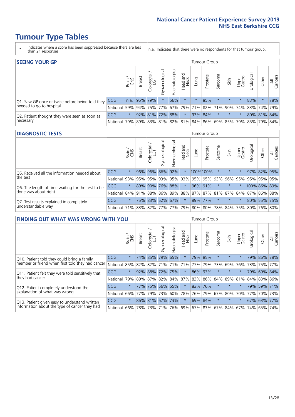- \* Indicates where a score has been suppressed because there are less than 21 responses.
- n.a. Indicates that there were no respondents for that tumour group.

| <b>SEEING YOUR GP</b>                           |            |         |               |                 |                    |                |                  |         | Tumour Group |         |         |                 |                                                 |             |                |
|-------------------------------------------------|------------|---------|---------------|-----------------|--------------------|----------------|------------------|---------|--------------|---------|---------|-----------------|-------------------------------------------------|-------------|----------------|
|                                                 |            | Brain   | <b>Breast</b> | Colorectal      | ᠊ᢛ<br>Gynaecologic | Haematological | Head and<br>Neck | Lung    | Prostate     | Sarcoma | Skin    | Upper<br>Gastro | $\sigma$<br>Jrologica                           | Other       | All<br>Cancers |
| Q1. Saw GP once or twice before being told they | CCG        |         | n.a. 95% 79%  |                 |                    | 56%            | $\star$          | $\star$ | 85%          |         | $\star$ | $\star$         | 83%                                             | $\star$     | 78%            |
| needed to go to hospital                        | National   | 59%     |               | 94% 75% 77%     |                    |                |                  |         |              |         |         |                 | 67% 79% 71% 82% 71% 90% 74% 83% 74% 79%         |             |                |
| Q2. Patient thought they were seen as soon as   | <b>CCG</b> | $\star$ |               | 92% 81% 72% 88% |                    |                | $\star$          |         | 93% 84%      |         | $\star$ |                 |                                                 | 80% 81% 84% |                |
| necessary                                       | National   | 79%     |               |                 |                    |                |                  |         |              |         |         |                 | 89% 83% 81% 82% 81% 84% 86% 69% 85% 79% 85% 79% |             | 84%            |

#### **DIAGNOSTIC TESTS** Tumour Group

|                                                   |                                                                  | Brain   | <b>Breast</b> | olorectal<br>LGT<br>$\cup$ | $\overline{\sigma}$<br>Gynaecologic | Haematologica | Head and<br>Neck | <b>Dung</b>         | Prostate | Sarcoma | Skin    | Upper<br>Gastro | Irological                                              | Other | All<br>Cancers |
|---------------------------------------------------|------------------------------------------------------------------|---------|---------------|----------------------------|-------------------------------------|---------------|------------------|---------------------|----------|---------|---------|-----------------|---------------------------------------------------------|-------|----------------|
| Q5. Received all the information needed about     | CCG                                                              | $\star$ |               | 96% 96% 86% 92%            |                                     |               | $\star$          |                     | 100%100% |         | $\star$ | $\star$         |                                                         |       | 97% 82% 95%    |
| the test                                          | National                                                         | 93%     |               | 95% 95%                    |                                     |               |                  | 93% 95% 93% 95% 95% |          |         | 93% 96% |                 | 95% 95% 95% 95%                                         |       |                |
| Q6. The length of time waiting for the test to be | <b>CCG</b>                                                       | $\star$ | 89%           | 90%                        |                                     | 76% 88%       | $\star$          |                     | 96% 91%  |         | $\star$ | $\star$         | 100% 86% 89%                                            |       |                |
| done was about right                              | National                                                         |         |               |                            |                                     |               |                  |                     |          |         |         |                 | 84% 91% 88% 86% 89% 88% 87% 87% 81% 87% 84% 87% 86% 88% |       |                |
| Q7. Test results explained in completely          | CCG                                                              | $\star$ |               | 75% 83%                    |                                     | 52% 67%       | $\star$          |                     | 89% 77%  |         | $\star$ |                 | 80% 55% 75%                                             |       |                |
| understandable way                                | National 71% 83% 82% 77% 77% 79% 80% 80% 78% 84% 75% 80% 76% 80% |         |               |                            |                                     |               |                  |                     |          |         |         |                 |                                                         |       |                |

| <b>FINDING OUT WHAT WAS WRONG WITH YOU</b>        |            |         |               |                        |                     |                    |                  |             | <b>Tumour Group</b> |         |         |                 |            |         |                |
|---------------------------------------------------|------------|---------|---------------|------------------------|---------------------|--------------------|------------------|-------------|---------------------|---------|---------|-----------------|------------|---------|----------------|
|                                                   |            | Brain   | <b>Breast</b> | olorectal.<br>LGT<br>Û | Gynaecological      | aematological<br>Ĩ | Head and<br>Neck | Lung        | Prostate            | Sarcoma | Skin    | Upper<br>Gastro | Urological | Other   | All<br>Cancers |
| Q10. Patient told they could bring a family       | CCG        | $\star$ | 74%           | 85%                    | 79%                 | 65%                | $\star$          |             | 79% 85%             | $\ast$  | $\star$ | $\star$         | 79%        | 86%     | 78%            |
| member or friend when first told they had cancer  | National   | 85%     | 82%           | 82%                    | 71%                 | 71%                | 71%              | 77%         | 79%                 | 73%     | 69%     | 76%             | 73%        | 75%     | 77%            |
| Q11. Patient felt they were told sensitively that | CCG        | $\star$ |               | 92% 88%                | 72%                 | 75%                | $\star$          | 86% 93%     |                     | $\ast$  | $\star$ | $\star$         | 79%        | 69%     | 84%            |
| they had cancer                                   | National   | 79%     |               |                        | 89% 87% 82% 84% 87% |                    |                  | 83% 86%     |                     | 84%     |         | 89% 81%         |            | 84% 83% | 86%            |
| Q12. Patient completely understood the            | <b>CCG</b> | $\star$ | 77%           | 75%                    | 56%                 | 55%                | $\star$          | 83% 76%     |                     | $\ast$  | $\star$ |                 | 79%        | 59%     | 71%            |
| explanation of what was wrong                     | National   | 66%     | 77%           | 79%                    | 73%                 | 60%                |                  | 78% 76% 79% |                     | 67%     | 80%     | 70%             | 77%        |         | 70% 73%        |
| Q13. Patient given easy to understand written     | CCG        | $\star$ |               | 86% 81%                | 67%                 | 73%                | $\star$          | 69% 84%     |                     | $\ast$  | $\star$ | $\star$         |            | 67% 63% | 77%            |
| information about the type of cancer they had     | National   | 66%     | 78%           | 73%                    | 71%                 | 76%                |                  | 69% 67% 83% |                     |         | 67% 84% | 67%             | 74%        | 65%     | 74%            |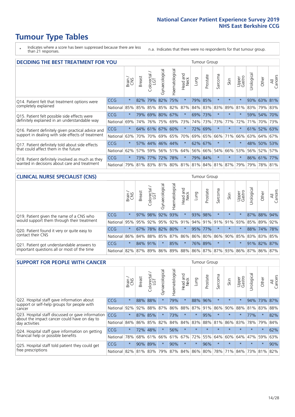- \* Indicates where a score has been suppressed because there are less than 21 responses.
- n.a. Indicates that there were no respondents for that tumour group.

| <b>DECIDING THE BEST TREATMENT FOR YOU</b>         |            |         |               |                        |                                     |                |                         |      | <b>Tumour Group</b> |              |         |                 |            |             |                |
|----------------------------------------------------|------------|---------|---------------|------------------------|-------------------------------------|----------------|-------------------------|------|---------------------|--------------|---------|-----------------|------------|-------------|----------------|
|                                                    |            | Brain   | <b>Breast</b> | olorectal.<br>LGT<br>Ü | Gynaecological                      | Haematological | ead and<br>Neck<br>Head | Lung | Prostate            | arcoma<br>vĀ | Skin    | Upper<br>Gastro | Jrological | Other       | All<br>Cancers |
| Q14. Patient felt that treatment options were      | <b>CCG</b> | $\star$ | 82%           | 79%                    | 82%                                 | 75%            | $\star$                 | 79%  | 85%                 | $\star$      |         | $\star$         | 93%        | 63%         | 81%            |
| completely explained                               | National   | 85%     | 85%           | 85%                    | 85%                                 | 82%            | 87%                     |      | 84% 83%             | 83%          | 89%     | 81%             |            | 83% 79% 83% |                |
| Q15. Patient felt possible side effects were       | <b>CCG</b> | $\star$ | 79%           | 69%                    | 80%                                 | 67%            | $\star$                 |      | 69% 73%             | $\star$      |         | $\star$         |            | 59% 54%     | 70%            |
| definitely explained in an understandable way      | National   | 69%     | 74%           | 76%                    | 75%                                 | 69%            | 73%                     |      | 74% 73%             | 73%          | 77%     | 72%             | 71%        | 70%         | 73%            |
| Q16. Patient definitely given practical advice and | <b>CCG</b> | $\star$ | 64%           | 61%                    | 67%                                 | 60%            | $\star$                 |      | 72% 69%             | $\star$      | $\star$ | $\star$         |            | 61% 52% 63% |                |
| support in dealing with side effects of treatment  | National   | 63%     | 70%           | 70%                    | 69%                                 | 65%            | 70%                     |      | 69% 65%             | 66%          | 71%     | 66%             |            | 63% 64%     | 67%            |
| Q17. Patient definitely told about side effects    | CCG        | $\star$ | 57%           | 44%                    | 46%                                 | 44%            | $\star$                 | 62%  | 67%                 | $\star$      | $\star$ | $\star$         |            | 48% 50%     | 53%            |
| that could affect them in the future               | National   | 62%     | 57%           | 59%                    | 56%                                 | 51%            | 64%                     |      | 56% 66%             | 54%          | 66%     | 53%             |            | 56% 52%     | 57%            |
| Q18. Patient definitely involved as much as they   | CCG        | $\star$ | 73%           | 77%                    | 72%                                 | 78%            | $\star$                 |      | 79% 84%             | $\star$      | $\star$ | $\star$         |            | 86% 61% 77% |                |
| wanted in decisions about care and treatment       | National   | 79%     |               |                        | 81% 83% 81% 80% 81% 81% 84% 81% 87% |                |                         |      |                     |              |         | 79%             |            | 79% 78% 81% |                |

#### **CLINICAL NURSE SPECIALIST (CNS)** Tumour Group

|                                             |                          | Brain   | <b>Breast</b>   | olorectal<br>LGT<br>Ü | σ<br>Gynaecologic | ক<br>Haematologic | Head and<br>Neck        | Lung | Prostate | Sarcoma | Skin    | Upper<br>Gastro | σ<br>Irologica                          | Other       | All<br>Cancers |
|---------------------------------------------|--------------------------|---------|-----------------|-----------------------|-------------------|-------------------|-------------------------|------|----------|---------|---------|-----------------|-----------------------------------------|-------------|----------------|
| Q19. Patient given the name of a CNS who    | <b>CCG</b>               | $\star$ | 97%             | 98%                   | 92%               | 93%               | $\star$                 |      | 93% 98%  |         | $\star$ |                 |                                         | 87% 88% 94% |                |
| would support them through their treatment  | National                 | 95%     | 95%             | 92%                   | 95%               |                   | 92% 91% 94% 91% 91% 91% |      |          |         |         | 93%             |                                         | 85% 89% 92% |                |
| Q20. Patient found it very or quite easy to | CCG                      | $\star$ | 67%             | 78%                   | 82%               | 80%               | $\ast$                  |      | 95% 77%  |         | $\star$ | $\star$         |                                         | 88% 74% 78% |                |
| contact their CNS                           | National                 |         | 86% 84% 88% 85% |                       |                   |                   | 87% 86% 86% 80% 86%     |      |          |         | 90%     | 85%             | 83% 83% 85%                             |             |                |
| Q21. Patient got understandable answers to  | CCG                      | $\star$ |                 | 84% 91%               |                   | 85%               | $\ast$                  |      | 76% 89%  | $\star$ | $\star$ | $\star$         |                                         | 91% 82% 87% |                |
| important questions all or most of the time | National 82% 87% 89% 86% |         |                 |                       |                   |                   |                         |      |          |         |         |                 | 89% 88% 86% 87% 87% 93% 86% 87% 86% 87% |             |                |

| <b>SUPPORT FOR PEOPLE WITH CANCER</b>                                                             |            |         |               |                             |                |                |                        |         | Tumour Group |         |         |                 |            |         |                |
|---------------------------------------------------------------------------------------------------|------------|---------|---------------|-----------------------------|----------------|----------------|------------------------|---------|--------------|---------|---------|-----------------|------------|---------|----------------|
|                                                                                                   |            | Brain   | <b>Breast</b> | ∼<br>olorectal.<br>LGT<br>Ũ | Gynaecological | Haematological | ad and<br>Neck<br>Head | Lung    | Prostate     | Sarcoma | Skin    | Upper<br>Gastro | Jrological | Other   | All<br>Cancers |
| Q22. Hospital staff gave information about<br>support or self-help groups for people with         | <b>CCG</b> | $\star$ | 88%           | 88%                         | $\star$        | 79%            | $\ast$                 | 88%     | 96%          | $\star$ | $\star$ | $\star$         | 94%        | 73%     | 87%            |
| cancer                                                                                            | National   | 92%     | 92%           | 88%                         | 87%            | 86%            | 88%                    | 87%     | 91%          | 86%     | 90%     | 88%             | 81%        | 83%     | 88%            |
| Q23. Hospital staff discussed or gave information<br>about the impact cancer could have on day to | <b>CCG</b> | $\star$ | 87%           | 85%                         | $\star$        | 73%            | $\star$                | $\star$ | 95%          | $\star$ | $\star$ | $\star$         | 77%        | $\star$ | 82%            |
| day activities                                                                                    | National   | 84%     | 86%           | 85%                         | 82%            | 84%            | 84%                    | 83%     | 88%          | 81%     | 86%     | 83%             | 78%        | 79%     | 84%            |
| Q24. Hospital staff gave information on getting                                                   | CCG        | $\star$ | 72%           | 48%                         | $\star$        | 56%            | $\ast$                 | $\star$ | $\star$      | $\star$ |         | $\star$         | $\star$    | $\star$ | 62%            |
| financial help or possible benefits                                                               | National   | 78%     | 68%           | 61%                         | 66%            | 61%            | 67%                    | 72%     | 55%          | 64%     | 60%     | 64%             | 47%        | 59%     | 63%            |
| Q25. Hospital staff told patient they could get                                                   | <b>CCG</b> | $\star$ | 90%           | 89%                         | $\star$        | 90%            | $\star$                | $\star$ | 96%          | $\star$ | $\star$ | $\star$         | $\star$    | $\star$ | 90%            |
| free prescriptions                                                                                | National   | 82%     |               | 81% 83%                     | 79%            |                | 87% 84% 86% 80%        |         |              | 78%     | 71%     | 84%             | 73%        | 81%     | 82%            |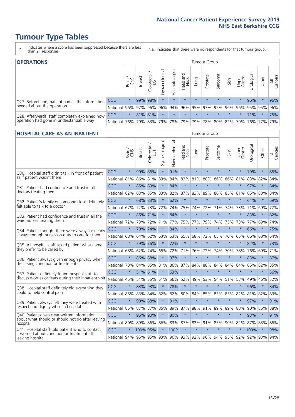- \* Indicates where a score has been suppressed because there are less than 21 responses.
- n.a. Indicates that there were no respondents for that tumour group.

| <b>OPERATIONS</b>                                                                           |            |         |               |            |                   |                |                                 |             |          | Tumour Group |                     |                 |                                  |             |                |  |  |  |
|---------------------------------------------------------------------------------------------|------------|---------|---------------|------------|-------------------|----------------|---------------------------------|-------------|----------|--------------|---------------------|-----------------|----------------------------------|-------------|----------------|--|--|--|
|                                                                                             |            | Brain   | <b>Breast</b> | Colorectal | ত<br>Gynaecologic | Haematological | Head and<br>Neck                | <b>Dung</b> | Prostate | Sarcoma      | Skin                | Upper<br>Gastro | $\overline{\sigma}$<br>Jrologica | Other       | All<br>Cancers |  |  |  |
| Q27. Beforehand, patient had all the information                                            | CCG        | $\star$ |               | 99% 98%    | $\star$           | $\star$        | $\star$                         | $\star$     | $\star$  | $\star$      | $\star$             | $\star$         | 96%                              | $\star$     | 96%            |  |  |  |
| needed about the operation                                                                  | National   | 96%     |               | 97% 96%    |                   |                | 96% 94% 96% 95% 97% 95% 96% 96% |             |          |              |                     |                 |                                  | 95% 95% 96% |                |  |  |  |
| Q28. Afterwards, staff completely explained how<br>operation had gone in understandable way | <b>CCG</b> | $\star$ |               | 81% 81%    | $\star$           | $\star$        | $\star$                         | $\star$     | $\star$  | $\star$      | $\star$             | $\star$         | 71%                              | $\star$     | 75%            |  |  |  |
|                                                                                             | National   | 76%     |               | 79% 83%    |                   |                | 79%   78%   79%                 |             |          |              | 79% 78% 80% 82% 79% |                 |                                  | 76% 77%     | 79%            |  |  |  |

### **HOSPITAL CARE AS AN INPATIENT** Tumour Group

|                                                                                                   |              | Brain   | Breast      | Colorectal /<br>LGT | Gynaecological | Haematological | Head and<br>Neck | Lung        | Prostate | Sarcoma | Skin            | Upper<br>Gastro | Urological | Other   | All<br>Cancers |
|---------------------------------------------------------------------------------------------------|--------------|---------|-------------|---------------------|----------------|----------------|------------------|-------------|----------|---------|-----------------|-----------------|------------|---------|----------------|
| Q30. Hospital staff didn't talk in front of patient                                               | CCG          | $\star$ | 90%         | 86%                 | $\star$        | 91%            | $\star$          | $\star$     | $\star$  | $\star$ | $\star$         | $\star$         | 79%        | $\star$ | 85%            |
| as if patient wasn't there                                                                        | National     | 81%     | 86%         | 81%                 | 83%            | 84%            | 83%              | 81%         | 88%      | 86%     | 86%             | 81%             | 83%        | 82%     | 84%            |
| 031. Patient had confidence and trust in all<br>doctors treating them                             | CCG          | $\star$ | 85% 83%     |                     |                | 84%            | $\star$          | $\star$     | $\star$  | $\star$ | $\star$         |                 | 97%        | $\star$ | 84%            |
|                                                                                                   | National     | 82%     |             | 83% 85%             | 83%            | 82%            |                  | 87% 83%     | 89%      | 86%     | 85%             | 81%             | 85%        | 80%     | 84%            |
| Q32. Patient's family or someone close definitely                                                 | CCG          | $\star$ | 68%         | 83%                 |                | 62%            | $\star$          | $\star$     | $\star$  | $\star$ | $\star$         | $\star$         | 64%        | $\star$ | 69%            |
| felt able to talk to a doctor                                                                     | National     | 67%     | 72%         | 73%                 | 72%            | 74%            | 75%              | 74%         | 72%      | 71%     | 74%             | 73%             | 71%        | 69%     | 72%            |
| Q33. Patient had confidence and trust in all the                                                  | CCG          | $\star$ | 86% 71%     |                     | $\star$        | 84%            | $\star$          | $\star$     | $\star$  | $\star$ | $\star$         | $\star$         | 83%        | $\star$ | 82%            |
| ward nurses treating them                                                                         | National     | 72%     | 73%         | 72%                 | 71%            | 77%            | 75%              | 77%         | 79%      | 74%     | 75%             | 73%             | 77%        | 69%     | 74%            |
| Q34. Patient thought there were always or nearly<br>always enough nurses on duty to care for them | CCG          | $\star$ | 79%         | 74%                 | $\star$        | 84%            | $\star$          | $\star$     | $\star$  | $\star$ | $\star$         | $\star$         | 66%        | $\star$ | 75%            |
|                                                                                                   | National     | 68%     | 64%         | 62%                 | 63%            | 63%            | 65%              | 68%         | 72%      | 65%     | 70%             | 65%             | 66%        | 60%     | 64%            |
| Q35. All hospital staff asked patient what name                                                   | CCG          | $\star$ | 79% 76%     |                     |                | 72%            | $\star$          | $\star$     | $\star$  | $\star$ | $\star$         | $\star$         | 82%        | $\star$ | 73%            |
| they prefer to be called by                                                                       | National     | 68%     | 62%         | 74%                 | 65%            | 72%            | 71%              | 76%         | 72%      | 74%     | 70%             | 78%             | 76%        | 69%     | 71%            |
| Q36. Patient always given enough privacy when                                                     | CCG          | $\star$ | 86%         | 88%                 | $\star$        | 97%            | $\star$          | $\star$     | $\star$  | $\star$ | $\star$         |                 | 83%        | $\star$ | 87%            |
| discussing condition or treatment                                                                 | National     | 78%     |             | 84% 85%             | 81%            | 86%            |                  | 87% 84%     | 88%      | 84%     | 84%             | 84%             | 85%        | 82%     | 85%            |
| Q37. Patient definitely found hospital staff to                                                   | CCG          | $\star$ |             | 51% 61%             | $\star$        | 63%            | $\star$          | $\star$     | $\star$  | $\star$ | $\star$         | $\star$         | $\star$    | $\star$ | 56%            |
| discuss worries or fears during their inpatient visit                                             | National     | 45%     |             | 51% 55%             | 51%            |                | 56% 52%          | 49%         | 53%      | 54%     | 51%             | 53%             | 49%        | 46%     | 52%            |
| Q38. Hospital staff definitely did everything they                                                | CCG          | $\star$ | 83% 93%     |                     | $\star$        | 78%            | $\star$          | $\star$     | $\star$  | $\star$ | $\star$         | $\star$         | 96%        | $\star$ | 84%            |
| could to help control pain                                                                        | National     | 85%     | 83%         | 84%                 | 82%            | 82%            | 80%              | 84%         | 85%      | 83%     | 85%             | 82%             | 81%        | 82%     | 83%            |
| Q39. Patient always felt they were treated with                                                   | CCG          | $\star$ | 90% 88%     |                     |                | 91%            | $\star$          | $\star$     | $\star$  | $\star$ | $\star$         |                 | 97%        | $\star$ | 91%            |
| respect and dignity while in hospital                                                             | National     | 85%     |             | 87% 87%             | 85%            |                |                  | 89% 87% 88% | 91%      | 89%     | 89%             | 88%             | 90% 86%    |         | 88%            |
| Q40. Patient given clear written information<br>about what should or should not do after leaving  | CCG          | $\star$ | 96%         | 90%                 | $\star$        | 80%            | $\star$          | $\star$     | $\star$  | $\star$ | $\star$         | $\star$         | 93%        | $\star$ | 91%            |
| hospital                                                                                          | National     | 80%     | 89%         | 86%                 | 86%            |                |                  | 83% 87% 82% | 91%      | 85%     | 90%             | 82%             | 87% 83%    |         | 86%            |
| Q41. Hospital staff told patient who to contact<br>if worried about condition or treatment after  | CCG          | $\star$ | 100% 95%    |                     | $\star$        | 100%           | $\star$          | $\star$     | $\star$  | $\star$ | $\star$         |                 | 100%       | $\star$ | 98%            |
| leaving hospital                                                                                  | National 94% |         | 95% 95% 93% |                     |                |                |                  | 96% 93% 92% |          |         | 96% 94% 95% 92% |                 |            | 92% 93% | 94%            |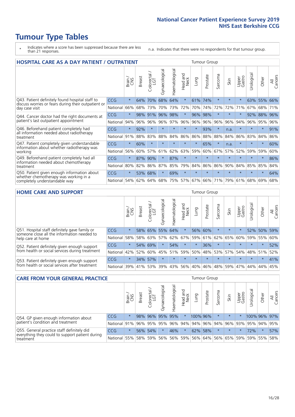- \* Indicates where a score has been suppressed because there are less than 21 responses.
- n.a. Indicates that there were no respondents for that tumour group.

| <b>HOSPITAL CARE AS A DAY PATIENT / OUTPATIENT</b><br><b>Tumour Group</b>                                             |            |         |               |                            |                |                |                                |         |          |              |         |                 |            |         |                |
|-----------------------------------------------------------------------------------------------------------------------|------------|---------|---------------|----------------------------|----------------|----------------|--------------------------------|---------|----------|--------------|---------|-----------------|------------|---------|----------------|
|                                                                                                                       |            | Brain   | <b>Breast</b> | ╮<br>olorectal<br>LGT<br>Ū | Gynaecological | Haematological | <b>Bad and</b><br>Neck<br>Head | Lung    | Prostate | arcoma<br>ιñ | Skin    | Upper<br>Gastro | Urological | Other   | All<br>Cancers |
| Q43. Patient definitely found hospital staff to                                                                       | CCG        | $\star$ | 64%           | 70%                        | 68%            | 64%            | $\star$                        | 61%     | 74%      | $\star$      | $\star$ | $\star$         | 63%        | 55%     | 66%            |
| discuss worries or fears during their outpatient or<br>day case visit                                                 | National   | 66%     | 68%           | 73%                        | 70%            | 73%            | 72%                            | 70%     | 74%      | 72%          | 72%     | 71%             | 67%        | 68%     | 71%            |
| Q44. Cancer doctor had the right documents at<br>patient's last outpatient appointment                                | CCG        | $\star$ | 98%           | 91%                        | 96%            | 98%            | $\star$                        | 96%     | 98%      | $\star$      |         |                 | 92%        | 88%     | 96%            |
|                                                                                                                       | National   | 94%     | 96%           | 96%                        | 96%            | 97%            | 96%                            | 96%     | 96%      | 96%          | 96%     | 94%             | 96%        | 95%     | 96%            |
| Q46. Beforehand patient completely had                                                                                | <b>CCG</b> | $\star$ | 92%           | $\star$                    | $\star$        |                | $\star$                        | $\star$ | 93%      | $\star$      | n.a.    | $\star$         | $\star$    | $\star$ | 91%            |
| all information needed about radiotherapy<br>treatment                                                                | National   | 91%     | 88%           | 83%                        | 88%            | 84%            | 86%                            | 86%     | 88%      | 88%          | 84%     | 86%             | 83%        | 84%     | 86%            |
| Q47. Patient completely given understandable                                                                          | CCG        | $\star$ | 60%           | $\star$                    |                |                | $\star$                        | $\star$ | 65%      | $\star$      | n.a.    | $\star$         | $\star$    | $\ast$  | 60%            |
| information about whether radiotherapy was<br>working                                                                 | National   | 56%     | 60%           | 57%                        | 61%            | 62%            | 63%                            | 59%     | 60%      | 67%          | 57%     | 52%             | 59%        | 59%     | 60%            |
| Q49. Beforehand patient completely had all                                                                            | <b>CCG</b> | $\star$ | 87%           | 90%                        | $\star$        | 87%            | $\star$                        | $\star$ | $\star$  | $\star$      | $\star$ | $\star$         | $\star$    | $\star$ | 86%            |
| information needed about chemotherapy<br>treatment                                                                    | National   | 80%     | 82%           | 86%                        | 87%            | 85%            | 79%                            | 84%     | 86%      | 86%          | 90%     | 84%             | 85%        | 85%     | 84%            |
| Q50. Patient given enough information about<br>whether chemotherapy was working in a<br>completely understandable way | <b>CCG</b> | $\star$ | 53%           | 68%                        | $\star$        | 69%            | $\star$                        | $\star$ | $\star$  | $\star$      | $\star$ | $\star$         | $\star$    | $\star$ | 64%            |
|                                                                                                                       | National   | 54%     | 62%           | 64%                        | 68%            | 75%            |                                | 57% 67% | 66%      | 71%          | 79%     | 61%             | 68%        | 69%     | 68%            |

#### **HOME CARE AND SUPPORT** Tumour Group

|                                                                                                                   |            | Brain   | <b>Breast</b> | olorectal<br>LGT<br>Ü | ᢛ<br>Gynaecologic | Haematological | ad and<br>Neck<br>Head | Lung    | Prostate | Sarcoma | Skin    | Upper<br>Gastro | Urological  | Other   | All<br>Cancers |
|-------------------------------------------------------------------------------------------------------------------|------------|---------|---------------|-----------------------|-------------------|----------------|------------------------|---------|----------|---------|---------|-----------------|-------------|---------|----------------|
| Q51. Hospital staff definitely gave family or<br>someone close all the information needed to<br>help care at home | <b>CCG</b> | $\star$ |               | 58% 65%               |                   | 55% 64%        | $\star$                |         | 56% 60%  |         | $\star$ | $\star$         |             | 52% 50% | 59%            |
|                                                                                                                   | National   | 58%     |               | 58% 63%               | 57%               | 62%            | 67%                    | 59%     | 61%      |         | 62% 65% | 60%             | 59%         | 55%     | 60%            |
| Q52. Patient definitely given enough support<br>from health or social services during treatment                   | <b>CCG</b> | $\star$ |               | 54% 69%               | $\star$           | 54%            | $\star$                | $\star$ | 36%      | $\star$ | $\star$ | $\star$         | $\star$     | $\star$ | 52%            |
|                                                                                                                   | National   | 42%     | 52%           | 60%                   |                   | 45% 51%        | 59%                    | 50%     | 48%      |         | 53% 57% |                 | 54% 48% 51% |         | 52%            |
| Q53. Patient definitely given enough support<br>from health or social services after treatment                    | <b>CCG</b> | $\star$ |               | 34% 57%               | $\star$           | $\star$        | $\star$                | $\star$ | $\star$  | $\star$ | $\star$ | $\star$         | $\star$     | $\star$ | 41%            |
|                                                                                                                   | National   | 39%     |               | 41% 53%               | 39%               | 43%            | 56%                    | 40%     | 46%      |         | 48% 59% | 47%             | 44%         | 44%     | 45%            |

| <b>CARE FROM YOUR GENERAL PRACTICE</b>                                                                     |              |               |               |                   |                 |                | Tumour Group     |          |          |         |             |                 |                                         |              |                |
|------------------------------------------------------------------------------------------------------------|--------------|---------------|---------------|-------------------|-----------------|----------------|------------------|----------|----------|---------|-------------|-----------------|-----------------------------------------|--------------|----------------|
|                                                                                                            |              | Brain.<br>CNS | <b>Breast</b> | Colorectal<br>LGT | Gynaecological  | Haematological | Head and<br>Neck | Lung     | Prostate | Sarcoma | Skin        | Upper<br>Gastro | Urological                              | Other        | All<br>Cancers |
| Q54. GP given enough information about<br>patient's condition and treatment                                | <b>CCG</b>   | $\star$       |               |                   | 98% 96% 95% 95% |                | $\star$          | 100% 96% |          | $\star$ | $\star$     | $\star$         |                                         | 100% 96% 97% |                |
|                                                                                                            | National 91% |               |               |                   | 96% 95% 95%     |                |                  |          |          |         |             |                 | 96% 94% 94% 96% 94% 96% 93% 95% 94% 95% |              |                |
| Q55. General practice staff definitely did<br>everything they could to support patient during<br>treatment | <b>CCG</b>   | $\star$       |               | 56% 54%           | $\star$         | 46%            | $\star$          |          | 62% 58%  | $\star$ | $\star$     | $\star$         | 72%                                     | $\star$      | 57%            |
|                                                                                                            | National 55% |               |               | 58% 59%           | 56%             |                | 56% 59%          |          | 56% 64%  |         | 56% 65% 59% |                 |                                         | 59% 55%      | 58%            |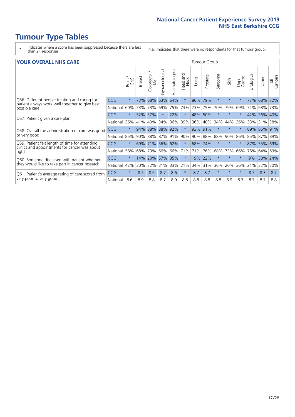- \* Indicates where a score has been suppressed because there are less than 21 responses.
- n.a. Indicates that there were no respondents for that tumour group.

#### **YOUR OVERALL NHS CARE** THE TWO CONTROLLER THE THE THROUP CHANGE THE TUMOUR GROUP

|                                                                 |            | Brain   | <b>Breast</b> | Colorectal | Gynaecological  | Haematological | aad and<br>Neck<br>Head | Lung    | Prostate | Sarcoma | Skin    | Upper<br>Gastro | Urological | Other   | All<br>Cancers |
|-----------------------------------------------------------------|------------|---------|---------------|------------|-----------------|----------------|-------------------------|---------|----------|---------|---------|-----------------|------------|---------|----------------|
| Q56. Different people treating and caring for                   | <b>CCG</b> | $\star$ | 73%           | 68%        | 63%             | 64%            | $\star$                 | 86%     | 79%      | $\star$ | $\star$ |                 | 77%        | 68%     | 72%            |
| patient always work well together to give best<br>possible care | National   | 60%     |               | 73% 73%    | 69%             | 75%            | 73%                     | 73% 75% |          | 70%     | 79%     | 69%             | 74%        | 68%     | 73%            |
| Q57. Patient given a care plan                                  | <b>CCG</b> | $\star$ |               | 52% 37%    |                 | 22%            | $\star$                 | 48% 50% |          | $\star$ | $\star$ |                 | 42%        | 36% 40% |                |
|                                                                 | National   | 36%     | 41%           | 40%        | 34%             | 36%            | 39%                     | 36%     | 40%      | 34%     | 44%     | 36%             | 33%        | 31%     | 38%            |
| Q58. Overall the administration of care was good                | <b>CCG</b> | $\star$ | 94%           | 88%        | 88%             | 92%            | $\star$                 | 93% 91% |          | $\star$ | $\star$ |                 | 89%        | 86%     | 91%            |
| or very good                                                    | National   | 85%     | $90\%$        | 88%        | 87%             | 91%            | 90%                     | $90\%$  | 88%      | 88%     | 90%     | 86%             | 85%        | 87% 89% |                |
| Q59. Patient felt length of time for attending                  | <b>CCG</b> | $\star$ |               |            | 69% 71% 56% 62% |                | $\star$                 | 68% 74% |          | $\star$ | $\star$ | $\star$         |            | 87% 55% | 69%            |
| clinics and appointments for cancer was about<br>right          | National   | 58%     | 68%           | 73%        | 66%             | 66%            | 71%                     | 71%     | 76%      | 68%     | 73%     | 66%             | 75%        | 64%     | 69%            |
| Q60. Someone discussed with patient whether                     | <b>CCG</b> | $\star$ | 14%           | 20%        | 57%             | 35%            | $\star$                 | 19%     | 22%      | $\star$ | $\star$ | $\star$         | 9%         | 38%     | 24%            |
| they would like to take part in cancer research                 | National   | 42%     | 30%           | 32%        | 31%             | 33%            | 21%                     | 34%     | 31%      | 36%     | 20%     | 36%             | 21%        | 32%     | 30%            |
| Q61. Patient's average rating of care scored from               | <b>CCG</b> | $\star$ | 8.7           | 8.6        | 8.7             | 8.6            | $\star$                 | 8.7     | 8.7      | $\star$ | $\star$ | $\star$         | 8.7        | 8.3     | 8.7            |
| very poor to very good                                          | National   | 8.6     | 8.9           | 8.8        | 8.7             | 8.9            | 8.8                     | 8.8     | 8.8      | 8.8     | 8.9     | 8.7             | 8.7        | 8.7     | 8.8            |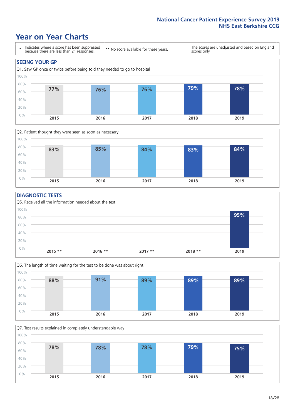### **Year on Year Charts**





#### **DIAGNOSTIC TESTS**





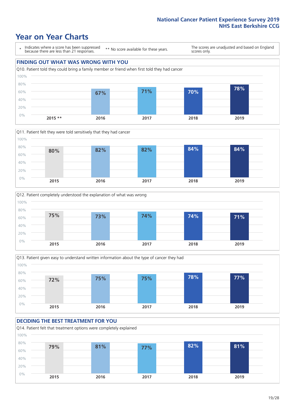### **Year on Year Charts**

\* Indicates where a score has been suppressed because there are less than 21 responses.

\*\* No score available for these years.

The scores are unadjusted and based on England scores only.









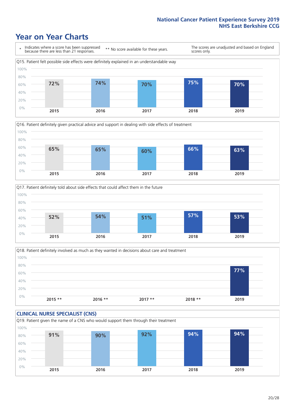### **Year on Year Charts**







Q18. Patient definitely involved as much as they wanted in decisions about care and treatment  $0%$ 20% 40% 60% 80% 100% **2015 \*\* 2016 \*\* 2017 \*\* 2018 \*\* 2019 77%**

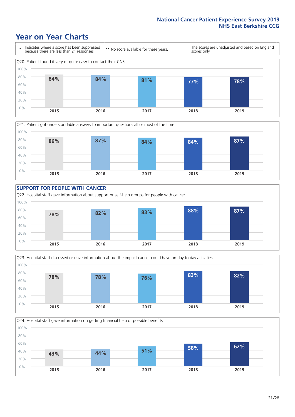### **Year on Year Charts**











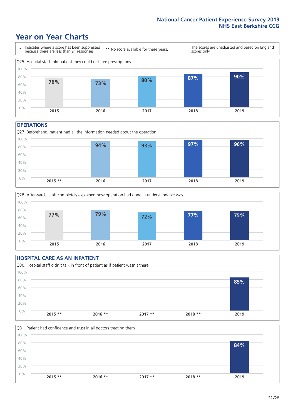### **Year on Year Charts**



#### **OPERATIONS**





### **HOSPITAL CARE AS AN INPATIENT** Q30. Hospital staff didn't talk in front of patient as if patient wasn't there 0% 20% 40% 60% 80% 100% **2015 \*\* 2016 \*\* 2017 \*\* 2018 \*\* 2019 85%**

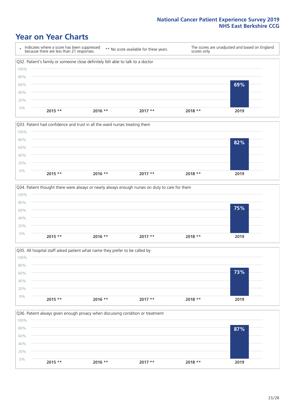### **Year on Year Charts**









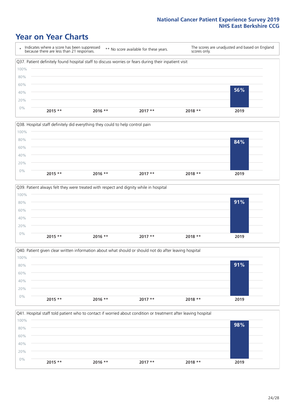### **Year on Year Charts**

\* Indicates where a score has been suppressed because there are less than 21 responses. \*\* No score available for these years. The scores are unadjusted and based on England scores only. Q37. Patient definitely found hospital staff to discuss worries or fears during their inpatient visit 0% 20% 40% 60% 80% 100% **2015 \*\* 2016 \*\* 2017 \*\* 2018 \*\* 2019 56%**







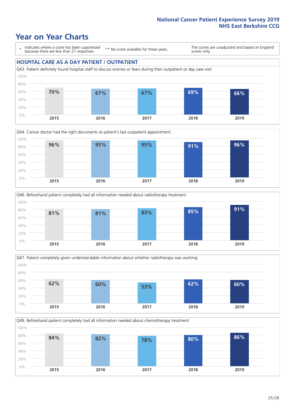### **Year on Year Charts**

\* Indicates where a score has been suppressed because there are less than 21 responses.

\*\* No score available for these years.

The scores are unadjusted and based on England scores only.

### **HOSPITAL CARE AS A DAY PATIENT / OUTPATIENT**









Q49. Beforehand patient completely had all information needed about chemotherapy treatment 0% 20% 40% 60% 80% 100% **2015 2016 2017 2018 2019 84% 82% 78% 80% 86%**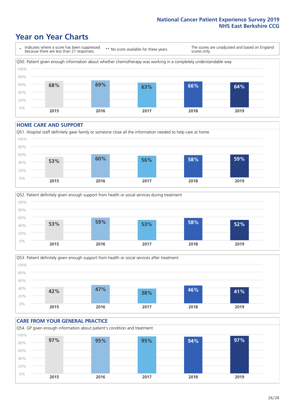### **Year on Year Charts**

\* Indicates where a score has been suppressed because there are less than 21 responses. \*\* No score available for these years. The scores are unadjusted and based on England scores only. Q50. Patient given enough information about whether chemotherapy was working in a completely understandable way 0% 20% 40% 60% 80% 100% **2015 2016 2017 2018 2019 68% 69% 63% 66% 64%**

#### **HOME CARE AND SUPPORT**







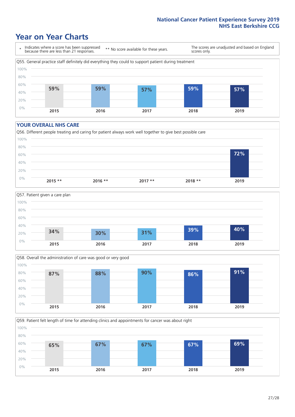### **Year on Year Charts**

\* Indicates where a score has been suppressed because there are less than 21 responses.

\*\* No score available for these years.

The scores are unadjusted and based on England scores only.



#### **YOUR OVERALL NHS CARE**







Q59. Patient felt length of time for attending clinics and appointments for cancer was about right 100%